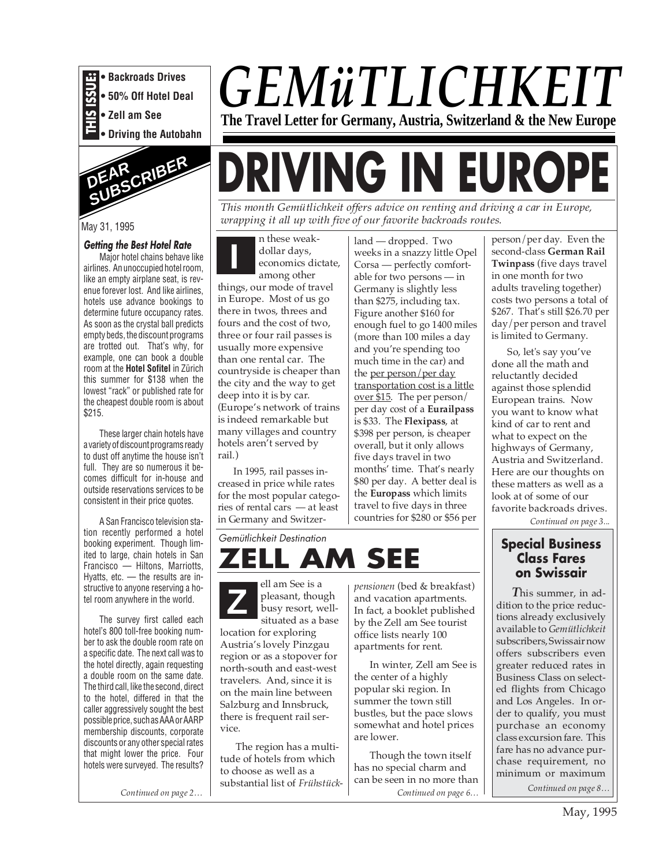

**• Driving the Autobahn**



# May 31, 1995

#### **Getting the Best Hotel Rate**

Major hotel chains behave like airlines. An unoccupied hotel room, like an empty airplane seat, is revenue forever lost. And like airlines, hotels use advance bookings to determine future occupancy rates. As soon as the crystal ball predicts empty beds, the discount programs are trotted out. That's why, for example, one can book a double room at the **Hotel Sofitel** in Zürich this summer for \$138 when the lowest "rack" or published rate for the cheapest double room is about \$215.

These larger chain hotels have a variety of discount programs ready to dust off anytime the house isn't full. They are so numerous it becomes difficult for in-house and outside reservations services to be consistent in their price quotes.

A San Francisco television station recently performed a hotel booking experiment. Though limited to large, chain hotels in San Francisco — Hiltons, Marriotts, Hyatts, etc. — the results are instructive to anyone reserving a hotel room anywhere in the world.

The survey first called each hotel's 800 toll-free booking number to ask the double room rate on a specific date. The next call was to the hotel directly, again requesting a double room on the same date. The third call, like the second, direct to the hotel, differed in that the caller aggressively sought the best possible price, such as AAA or AARP membership discounts, corporate discounts or any other special rates that might lower the price. Four hotels were surveyed. The results?

*Continued on page 2…*

# *GEMüTLICHKEIT* **The Travel Letter for Germany, Austria, Switzerland & the New Europe**

# **DRIVING IN EUROPE**

*This month Gemütlichkeit offers advice on renting and driving a car in Europe, wrapping it all up with five of our favorite backroads routes.*

**I** n these weakdollar days, economics dictate, among other

things, our mode of travel in Europe. Most of us go there in twos, threes and fours and the cost of two, three or four rail passes is usually more expensive than one rental car. The countryside is cheaper than the city and the way to get deep into it is by car. (Europe's network of trains is indeed remarkable but many villages and country hotels aren't served by rail.)

In 1995, rail passes increased in price while rates for the most popular categories of rental cars — at least in Germany and Switzer-

Gemütlichkeit Destination

ell am See is a pleasant, though busy resort, wellsituated as a base

The region has a multitude of hotels from which to choose as well as a substantial list of *Frühstück-*

location for exploring Austria's lovely Pinzgau region or as a stopover for north-south and east-west travelers. And, since it is on the main line between Salzburg and Innsbruck, there is frequent rail ser-

vice.

**Z z p**ensionen (bed & breakfast) pleasant, though and vacation apartments.<br>
busy resort, well-<br>
in fact, a booklet published

land — dropped. Two weeks in a snazzy little Opel Corsa — perfectly comfortable for two persons — in Germany is slightly less than \$275, including tax. Figure another \$160 for enough fuel to go 1400 miles (more than 100 miles a day and you're spending too much time in the car) and the per person/per day transportation cost is a little over \$15. The per person/ per day cost of a **Eurailpass** is \$33. The **Flexipass**, at \$398 per person, is cheaper overall, but it only allows five days travel in two months' time. That's nearly \$80 per day. A better deal is the **Europass** which limits travel to five days in three countries for \$280 or \$56 per

and vacation apartments. In fact, a booklet published by the Zell am See tourist office lists nearly 100 apartments for rent.

the center of a highly popular ski region. In summer the town still bustles, but the pace slows somewhat and hotel prices

are lower.

In winter, Zell am See is

Though the town itself has no special charm and can be seen in no more than

person/per day. Even the second-class **German Rail Twinpass** (five days travel in one month for two adults traveling together) costs two persons a total of \$267. That's still \$26.70 per day/per person and travel is limited to Germany.

So, let's say you've done all the math and reluctantly decided against those splendid European trains. Now you want to know what kind of car to rent and what to expect on the highways of Germany, Austria and Switzerland. Here are our thoughts on these matters as well as a look at of some of our favorite backroads drives.

*Continued on page 3...*

# *AM SEE* Special Business<br>AM SEE Class Fares **Class Fares on Swissair**

*T*his summer, in addition to the price reductions already exclusively available to *Gemütlichkeit* subscribers, Swissair now offers subscribers even greater reduced rates in Business Class on selected flights from Chicago and Los Angeles. In order to qualify, you must purchase an economy class excursion fare. This fare has no advance purchase requirement, no minimum or maximum

*Continued on page 6… Continued on page 8…*

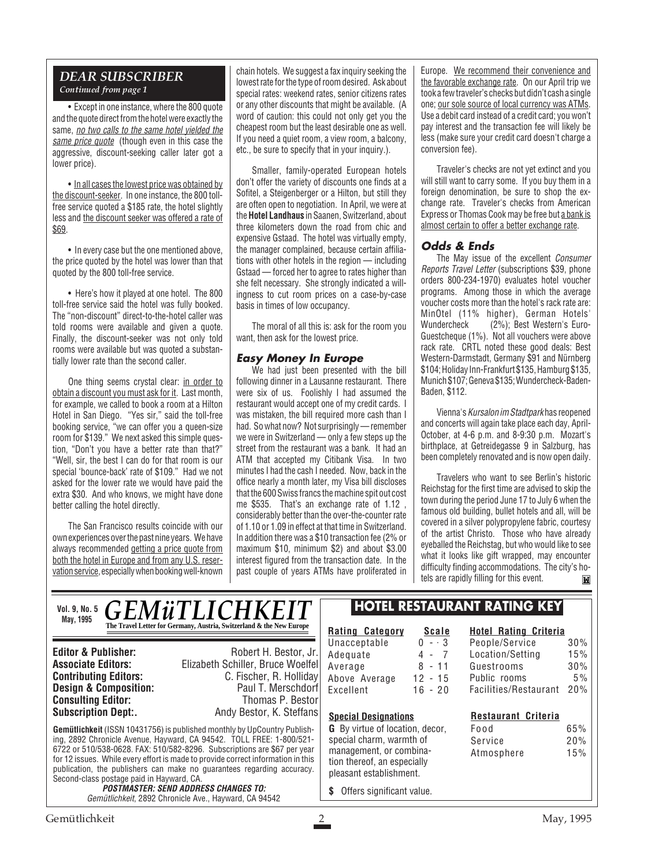# *DEAR SUBSCRIBER Continued from page 1*

• Except in one instance, where the 800 quote and the quote direct from the hotel were exactly the same, no two calls to the same hotel yielded the same price quote (though even in this case the aggressive, discount-seeking caller later got a lower price).

• In all cases the lowest price was obtained by the discount-seeker. In one instance, the 800 tollfree service quoted a \$185 rate, the hotel slightly less and the discount seeker was offered a rate of \$69.

• In every case but the one mentioned above, the price quoted by the hotel was lower than that quoted by the 800 toll-free service.

• Here's how it played at one hotel. The 800 toll-free service said the hotel was fully booked. The "non-discount" direct-to-the-hotel caller was told rooms were available and given a quote. Finally, the discount-seeker was not only told rooms were available but was quoted a substantially lower rate than the second caller.

One thing seems crystal clear: in order to obtain a discount you must ask for it. Last month, for example, we called to book a room at a Hilton Hotel in San Diego. "Yes sir," said the toll-free booking service, "we can offer you a queen-size room for \$139." We next asked this simple question, "Don't you have a better rate than that?" "Well, sir, the best I can do for that room is our special 'bounce-back' rate of \$109." Had we not asked for the lower rate we would have paid the extra \$30. And who knows, we might have done better calling the hotel directly.

The San Francisco results coincide with our own experiences over the past nine years. We have always recommended getting a price quote from both the hotel in Europe and from any U.S. reservation service, especially when booking well-known chain hotels. We suggest a fax inquiry seeking the lowest rate for the type of room desired. Ask about special rates: weekend rates, senior citizens rates or any other discounts that might be available. (A word of caution: this could not only get you the cheapest room but the least desirable one as well. If you need a quiet room, a view room, a balcony, etc., be sure to specify that in your inquiry.).

Smaller, family-operated European hotels don't offer the variety of discounts one finds at a Sofitel, a Steigenberger or a Hilton, but still they are often open to negotiation. In April, we were at the **Hotel Landhaus** in Saanen, Switzerland, about three kilometers down the road from chic and expensive Gstaad. The hotel was virtually empty, the manager complained, because certain affiliations with other hotels in the region — including Gstaad — forced her to agree to rates higher than she felt necessary. She strongly indicated a willingness to cut room prices on a case-by-case basis in times of low occupancy.

The moral of all this is: ask for the room you want, then ask for the lowest price.

# **Easy Money In Europe**

We had just been presented with the bill following dinner in a Lausanne restaurant. There were six of us. Foolishly I had assumed the restaurant would accept one of my credit cards. I was mistaken, the bill required more cash than I had. So what now? Not surprisingly — remember we were in Switzerland — only a few steps up the street from the restaurant was a bank. It had an ATM that accepted my Citibank Visa. In two minutes I had the cash I needed. Now, back in the office nearly a month later, my Visa bill discloses that the 600 Swiss francs the machine spit out cost me \$535. That's an exchange rate of 1.12 , considerably better than the over-the-counter rate of 1.10 or 1.09 in effect at that time in Switzerland. In addition there was a \$10 transaction fee (2% or maximum \$10, minimum \$2) and about \$3.00 interest figured from the transaction date. In the past couple of years ATMs have proliferated in

Europe. We recommend their convenience and the favorable exchange rate. On our April trip we took a few traveler's checks but didn't cash a single one; our sole source of local currency was ATMs. Use a debit card instead of a credit card; you won't pay interest and the transaction fee will likely be less (make sure your credit card doesn't charge a conversion fee).

Traveler's checks are not yet extinct and you will still want to carry some. If you buy them in a foreign denomination, be sure to shop the exchange rate. Traveler's checks from American Express or Thomas Cook may be free but a bank is almost certain to offer a better exchange rate.

# **Odds & Ends**

The May issue of the excellent Consumer Reports Travel Letter (subscriptions \$39, phone orders 800-234-1970) evaluates hotel voucher programs. Among those in which the average voucher costs more than the hotel's rack rate are: MinOtel (11% higher), German Hotels'<br>Wundercheck (2%); Best Western's Euro-(2%); Best Western's Euro-Guestcheque (1%). Not all vouchers were above rack rate. CRTL noted these good deals: Best Western-Darmstadt, Germany \$91 and Nürnberg \$104; Holiday Inn-Frankfurt \$135, Hamburg \$135, Munich \$107; Geneva \$135; Wundercheck-Baden-Baden, \$112.

Vienna's Kursalon im Stadtpark has reopened and concerts will again take place each day, April-October, at 4-6 p.m. and 8-9:30 p.m. Mozart's birthplace, at Getreidegasse 9 in Salzburg, has been completely renovated and is now open daily.

Travelers who want to see Berlin's historic Reichstag for the first time are advised to skip the town during the period June 17 to July 6 when the famous old building, bullet hotels and all, will be covered in a silver polypropylene fabric, courtesy of the artist Christo. Those who have already eyeballed the Reichstag, but who would like to see what it looks like gift wrapped, may encounter difficulty finding accommodations. The city's hotels are rapidly filling for this event. M

*GEMüTLICHKEIT* **The Travel Letter for Germany, Austria, Switzerland & the New Europe Vol. 9, No. 5 May, 1995**

**Consulting Editor:**<br>Subscription Dept:.

**Editor & Publisher:** Robert H. Bestor, Jr. **Associate Editors:** Elizabeth Schiller, Bruce Woelfel **C. Fischer, R. Holliday**<br>Paul T. Merschdorf **Design & Composition:** Paul T. Merschdorf **Consulting Editor:** Paul T. Merschdorf **Consulting Editor:** Paul Thomas P. Bestor Andy Bestor, K. Steffans

**Gemütlichkeit** (ISSN 10431756) is published monthly by UpCountry Publishing, 2892 Chronicle Avenue, Hayward, CA 94542. TOLL FREE: 1-800/521- 6722 or 510/538-0628. FAX: 510/582-8296. Subscriptions are \$67 per year for 12 issues. While every effort is made to provide correct information in this publication, the publishers can make no guarantees regarding accuracy. Second-class postage paid in Hayward, CA.

**POSTMASTER: SEND ADDRESS CHANGES TO:** Gemütlichkeit, 2892 Chronicle Ave., Hayward, CA 94542

# **HOTEL RESTAURANT RATING KEY**

**Rating Category Scale** Unacceptable 0 - · 3<br>Adequate 4 - 7 Adequate 4 - 7<br>Average 8 - 11 Average Above Average 12 - 15 Excellent 16 - 20  $0 - 3$ 

#### **Hotel Rating Criteria** People/Service 30% Location/Setting 15% Guestrooms 30% Public rooms 5%

Facilities/Restaurant 20%

# **Restaurant Criteria**

Food 65% Service 20% Atmosphere 15%

pleasant establishment. **\$** Offers significant value.

**Special Designations G** By virtue of location, decor, special charm, warmth of management, or combination thereof, an especially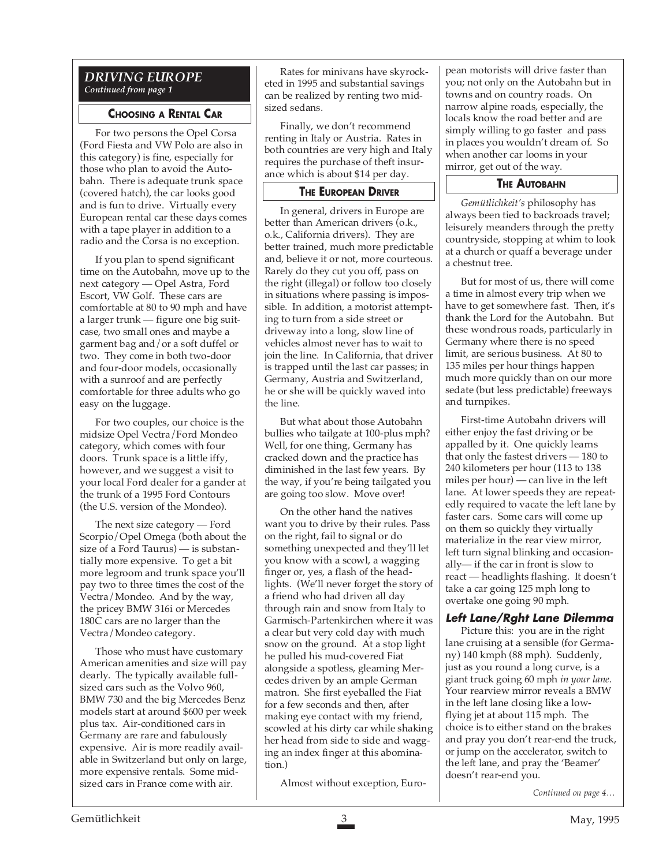# *DRIVING EUROPE Continued from page 1*

# **CHOOSING A RENTAL CAR**

For two persons the Opel Corsa (Ford Fiesta and VW Polo are also in this category) is fine, especially for those who plan to avoid the Autobahn. There is adequate trunk space (covered hatch), the car looks good and is fun to drive. Virtually every European rental car these days comes with a tape player in addition to a radio and the Corsa is no exception.

If you plan to spend significant time on the Autobahn, move up to the next category — Opel Astra, Ford Escort, VW Golf. These cars are comfortable at 80 to 90 mph and have a larger trunk — figure one big suitcase, two small ones and maybe a garment bag and/or a soft duffel or two. They come in both two-door and four-door models, occasionally with a sunroof and are perfectly comfortable for three adults who go easy on the luggage.

For two couples, our choice is the midsize Opel Vectra/Ford Mondeo category, which comes with four doors. Trunk space is a little iffy, however, and we suggest a visit to your local Ford dealer for a gander at the trunk of a 1995 Ford Contours (the U.S. version of the Mondeo).

The next size category — Ford Scorpio/Opel Omega (both about the size of a Ford Taurus) — is substantially more expensive. To get a bit more legroom and trunk space you'll pay two to three times the cost of the Vectra/Mondeo. And by the way, the pricey BMW 316i or Mercedes 180C cars are no larger than the Vectra/Mondeo category.

Those who must have customary American amenities and size will pay dearly. The typically available fullsized cars such as the Volvo 960, BMW 730 and the big Mercedes Benz models start at around \$600 per week plus tax. Air-conditioned cars in Germany are rare and fabulously expensive. Air is more readily available in Switzerland but only on large, more expensive rentals. Some midsized cars in France come with air.

Rates for minivans have skyrocketed in 1995 and substantial savings can be realized by renting two midsized sedans.

Finally, we don't recommend renting in Italy or Austria. Rates in both countries are very high and Italy requires the purchase of theft insurance which is about \$14 per day.

# **THE EUROPEAN DRIVER**

In general, drivers in Europe are better than American drivers (o.k., o.k., California drivers). They are better trained, much more predictable and, believe it or not, more courteous. Rarely do they cut you off, pass on the right (illegal) or follow too closely in situations where passing is impossible. In addition, a motorist attempting to turn from a side street or driveway into a long, slow line of vehicles almost never has to wait to join the line. In California, that driver is trapped until the last car passes; in Germany, Austria and Switzerland, he or she will be quickly waved into the line.

But what about those Autobahn bullies who tailgate at 100-plus mph? Well, for one thing, Germany has cracked down and the practice has diminished in the last few years. By the way, if you're being tailgated you are going too slow. Move over!

On the other hand the natives want you to drive by their rules. Pass on the right, fail to signal or do something unexpected and they'll let you know with a scowl, a wagging finger or, yes, a flash of the headlights. (We'll never forget the story of a friend who had driven all day through rain and snow from Italy to Garmisch-Partenkirchen where it was a clear but very cold day with much snow on the ground. At a stop light he pulled his mud-covered Fiat alongside a spotless, gleaming Mercedes driven by an ample German matron. She first eyeballed the Fiat for a few seconds and then, after making eye contact with my friend, scowled at his dirty car while shaking her head from side to side and wagging an index finger at this abomination.)

Almost without exception, Euro-

pean motorists will drive faster than you; not only on the Autobahn but in towns and on country roads. On narrow alpine roads, especially, the locals know the road better and are simply willing to go faster and pass in places you wouldn't dream of. So when another car looms in your mirror, get out of the way.

# **THE AUTOBAHN**

*Gemütlichkeit's* philosophy has always been tied to backroads travel; leisurely meanders through the pretty countryside, stopping at whim to look at a church or quaff a beverage under a chestnut tree.

But for most of us, there will come a time in almost every trip when we have to get somewhere fast. Then, it's thank the Lord for the Autobahn. But these wondrous roads, particularly in Germany where there is no speed limit, are serious business. At 80 to 135 miles per hour things happen much more quickly than on our more sedate (but less predictable) freeways and turnpikes.

First-time Autobahn drivers will either enjoy the fast driving or be appalled by it. One quickly learns that only the fastest drivers — 180 to 240 kilometers per hour (113 to 138 miles per hour) — can live in the left lane. At lower speeds they are repeatedly required to vacate the left lane by faster cars. Some cars will come up on them so quickly they virtually materialize in the rear view mirror, left turn signal blinking and occasionally— if the car in front is slow to react — headlights flashing. It doesn't take a car going 125 mph long to overtake one going 90 mph.

# **Left Lane/Rght Lane Dilemma**

Picture this: you are in the right lane cruising at a sensible (for Germany) 140 kmph (88 mph). Suddenly, just as you round a long curve, is a giant truck going 60 mph *in your lane*. Your rearview mirror reveals a BMW in the left lane closing like a lowflying jet at about 115 mph. The choice is to either stand on the brakes and pray you don't rear-end the truck, or jump on the accelerator, switch to the left lane, and pray the 'Beamer' doesn't rear-end you.

*Continued on page 4…*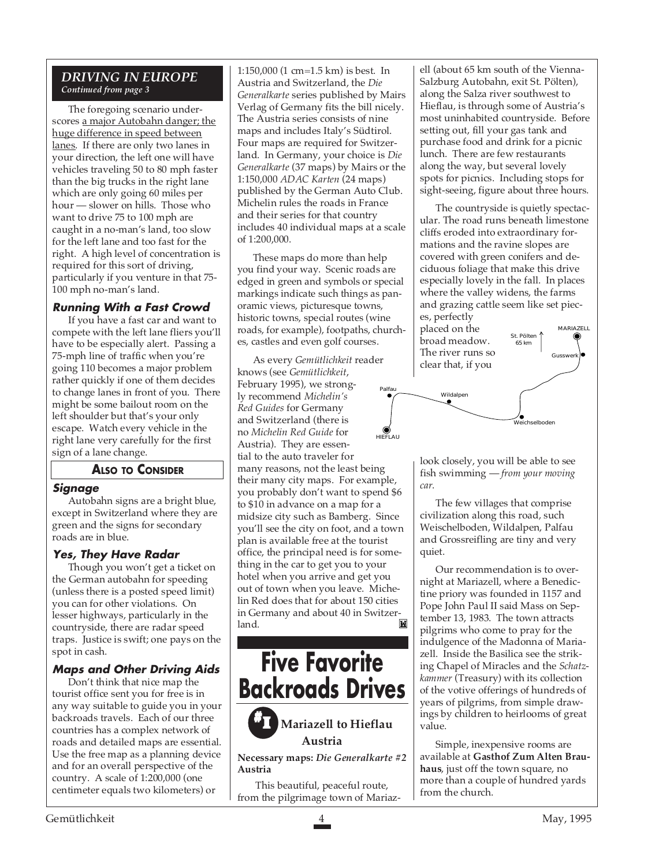# *DRIVING IN EUROPE Continued from page 3*

The foregoing scenario underscores a major Autobahn danger; the huge difference in speed between lanes. If there are only two lanes in your direction, the left one will have vehicles traveling 50 to 80 mph faster than the big trucks in the right lane which are only going 60 miles per hour — slower on hills. Those who want to drive 75 to 100 mph are caught in a no-man's land, too slow for the left lane and too fast for the right. A high level of concentration is required for this sort of driving, particularly if you venture in that 75- 100 mph no-man's land.

# **Running With a Fast Crowd**

If you have a fast car and want to compete with the left lane fliers you'll have to be especially alert. Passing a 75-mph line of traffic when you're going 110 becomes a major problem rather quickly if one of them decides to change lanes in front of you. There might be some bailout room on the left shoulder but that's your only escape. Watch every vehicle in the right lane very carefully for the first sign of a lane change.

# **ALSO TO CONSIDER**

# **Signage**

Autobahn signs are a bright blue, except in Switzerland where they are green and the signs for secondary roads are in blue.

# **Yes, They Have Radar**

Though you won't get a ticket on the German autobahn for speeding (unless there is a posted speed limit) you can for other violations. On lesser highways, particularly in the countryside, there are radar speed traps. Justice is swift; one pays on the spot in cash.

# **Maps and Other Driving Aids**

Don't think that nice map the tourist office sent you for free is in any way suitable to guide you in your backroads travels. Each of our three countries has a complex network of roads and detailed maps are essential. Use the free map as a planning device and for an overall perspective of the country. A scale of 1:200,000 (one centimeter equals two kilometers) or

1:150,000 (1 cm=1.5 km) is best. In Austria and Switzerland, the *Die Generalkarte* series published by Mairs Verlag of Germany fits the bill nicely. The Austria series consists of nine maps and includes Italy's Südtirol. Four maps are required for Switzerland. In Germany, your choice is *Die Generalkarte* (37 maps) by Mairs or the 1:150,000 *ADAC Karten* (24 maps) published by the German Auto Club. Michelin rules the roads in France and their series for that country includes 40 individual maps at a scale of 1:200,000.

These maps do more than help you find your way. Scenic roads are edged in green and symbols or special markings indicate such things as panoramic views, picturesque towns, historic towns, special routes (wine roads, for example), footpaths, churches, castles and even golf courses.

As every *Gemütlichkeit* reader knows (see *Gemütlichkeit*, February 1995), we strongly recommend *Michelin's Red Guides* for Germany and Switzerland (there is no *Michelin Red Guide* for Austria). They are essential to the auto traveler for many reasons, not the least being their many city maps. For example, you probably don't want to spend \$6 to \$10 in advance on a map for a midsize city such as Bamberg. Since you'll see the city on foot, and a town plan is available free at the tourist office, the principal need is for something in the car to get you to your hotel when you arrive and get you out of town when you leave. Michelin Red does that for about 150 cities in Germany and about 40 in Switzerland. HIEFLAU Palfau



 This beautiful, peaceful route, from the pilgrimage town of Mariazell (about 65 km south of the Vienna-Salzburg Autobahn, exit St. Pölten), along the Salza river southwest to Hieflau, is through some of Austria's most uninhabited countryside. Before setting out, fill your gas tank and purchase food and drink for a picnic lunch. There are few restaurants along the way, but several lovely spots for picnics. Including stops for sight-seeing, figure about three hours.

The countryside is quietly spectacular. The road runs beneath limestone cliffs eroded into extraordinary formations and the ravine slopes are covered with green conifers and deciduous foliage that make this drive especially lovely in the fall. In places where the valley widens, the farms and grazing cattle seem like set pieces, perfectly

> St. Pölten  $65 km$

MARIAZELL

Gusswerk

placed on the broad meadow. The river runs so clear that, if you



look closely, you will be able to see fish swimming — *from your moving car*.

The few villages that comprise civilization along this road, such Weischelboden, Wildalpen, Palfau and Grossreifling are tiny and very quiet.

Our recommendation is to overnight at Mariazell, where a Benedictine priory was founded in 1157 and Pope John Paul II said Mass on September 13, 1983. The town attracts pilgrims who come to pray for the indulgence of the Madonna of Mariazell. Inside the Basilica see the striking Chapel of Miracles and the *Schatzkammer* (Treasury) with its collection of the votive offerings of hundreds of years of pilgrims, from simple drawings by children to heirlooms of great value.

Simple, inexpensive rooms are available at **Gasthof Zum Alten Brauhaus**, just off the town square, no more than a couple of hundred yards from the church.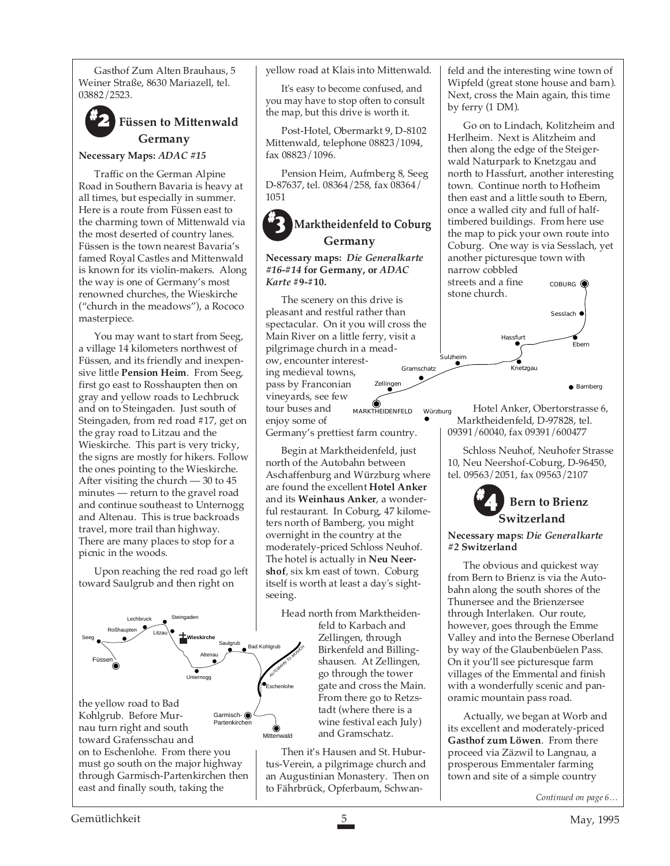Gasthof Zum Alten Brauhaus, 5 Weiner Straße, 8630 Mariazell, tel. 03882/2523.

# **#2 Füssen to Mittenwald Germany**

**Necessary Maps:** *ADAC #15*

Traffic on the German Alpine Road in Southern Bavaria is heavy at all times, but especially in summer. Here is a route from Füssen east to the charming town of Mittenwald via the most deserted of country lanes. Füssen is the town nearest Bavaria's famed Royal Castles and Mittenwald is known for its violin-makers. Along the way is one of Germany's most renowned churches, the Wieskirche ("church in the meadows"), a Rococo masterpiece.

You may want to start from Seeg, a village 14 kilometers northwest of Füssen, and its friendly and inexpensive little **Pension Heim**. From Seeg, first go east to Rosshaupten then on gray and yellow roads to Lechbruck and on to Steingaden. Just south of Steingaden, from red road #17, get on the gray road to Litzau and the Wieskirche. This part is very tricky, the signs are mostly for hikers. Follow the ones pointing to the Wieskirche. After visiting the church — 30 to 45 minutes — return to the gravel road and continue southeast to Unternogg and Altenau. This is true backroads travel, more trail than highway. There are many places to stop for a picnic in the woods.

Upon reaching the red road go left toward Saulgrub and then right on



toward Grafensschau and on to Eschenlohe. From there you must go south on the major highway through Garmisch-Partenkirchen then east and finally south, taking the

yellow road at Klais into Mittenwald.

It's easy to become confused, and you may have to stop often to consult the map, but this drive is worth it.

Post-Hotel, Obermarkt 9, D-8102 Mittenwald, telephone 08823/1094, fax 08823/1096.

Pension Heim, Aufmberg 8, Seeg D-87637, tel. 08364/258, fax 08364/ 1051

# **#3 Marktheidenfeld to Coburg Germany**

#### **Necessary maps:** *Die Generalkarte #16***-***#14* **for Germany, or** *ADAC Karte* **#9-#10.**

The scenery on this drive is pleasant and restful rather than spectacular. On it you will cross the Main River on a little ferry, visit a pilgrimage church in a meadow, encounter interesting medieval towns, pass by Franconian vineyards, see few tour buses and enjoy some of MARKTHEIDENFELD Würzburg Gramschatz Zellinge

Germany's prettiest farm country.

Begin at Marktheidenfeld, just north of the Autobahn between Aschaffenburg and Würzburg where are found the excellent **Hotel Anker** and its **Weinhaus Anker**, a wonderful restaurant. In Coburg, 47 kilometers north of Bamberg, you might overnight in the country at the moderately-priced Schloss Neuhof. The hotel is actually in **Neu Neershof**, six km east of town. Coburg itself is worth at least a day's sightseeing.

Head north from Marktheidenfeld to Karbach and Zellingen, through Birkenfeld and Billingshausen. At Zellingen, go through the tower gate and cross the Main. From there go to Retzstadt (where there is a wine festival each July) and Gramschatz.

Then it's Hausen and St. Huburtus-Verein, a pilgrimage church and an Augustinian Monastery. Then on to Fährbrück, Opferbaum, Schwan-

feld and the interesting wine town of Wipfeld (great stone house and barn). Next, cross the Main again, this time by ferry (1 DM).

Go on to Lindach, Kolitzheim and Herlheim. Next is Alitzheim and then along the edge of the Steigerwald Naturpark to Knetzgau and north to Hassfurt, another interesting town. Continue north to Hofheim then east and a little south to Ebern, once a walled city and full of halftimbered buildings. From here use the map to pick your own route into Coburg. One way is via Sesslach, yet another picturesque town with narrow cobbled

streets and a fine stone church. COBURG<sup>@</sup>



Hotel Anker, Obertorstrasse 6, Marktheidenfeld, D-97828, tel. 09391/60040, fax 09391/600477

Schloss Neuhof, Neuhofer Strasse 10, Neu Neershof-Coburg, D-96450, tel. 09563/2051, fax 09563/2107



#### **Necessary maps:** *Die Generalkarte #2* **Switzerland**

The obvious and quickest way from Bern to Brienz is via the Autobahn along the south shores of the Thunersee and the Brienzersee through Interlaken. Our route, however, goes through the Emme Valley and into the Bernese Oberland by way of the Glaubenbüelen Pass. On it you'll see picturesque farm villages of the Emmental and finish with a wonderfully scenic and panoramic mountain pass road.

Actually, we began at Worb and its excellent and moderately-priced **Gasthof zum Löwen**. From there proceed via Zäzwil to Langnau, a prosperous Emmentaler farming town and site of a simple country

*Continued on page 6…*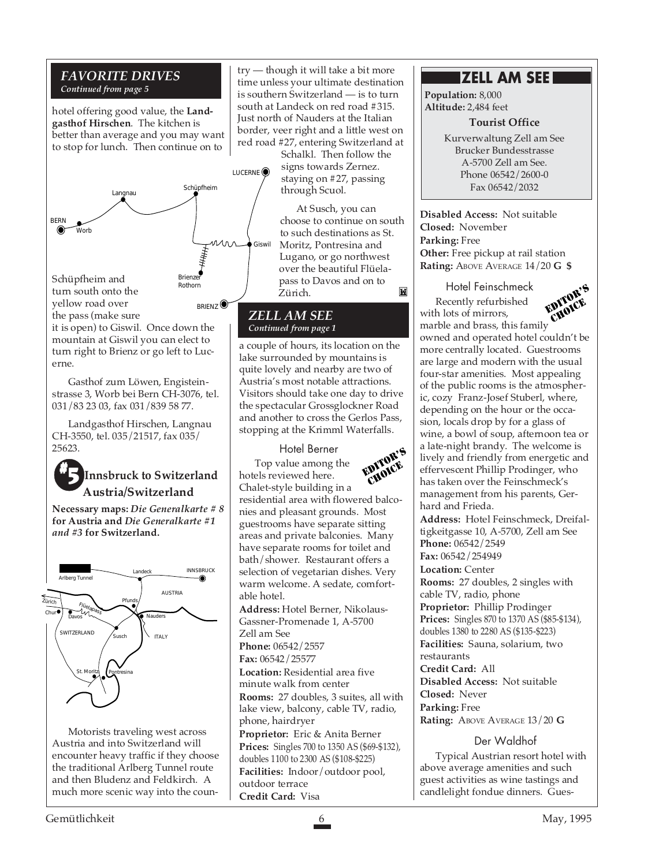# *FAVORITE DRIVES Continued from page 5*

hotel offering good value, the **Landgasthof Hirschen**. The kitchen is better than average and you may want to stop for lunch. Then continue on to



the pass (make sure it is open) to Giswil. Once down the mountain at Giswil you can elect to turn right to Brienz or go left to Lucerne.

Gasthof zum Löwen, Engisteinstrasse 3, Worb bei Bern CH-3076, tel. 031/83 23 03, fax 031/839 58 77.

Landgasthof Hirschen, Langnau CH-3550, tel. 035/21517, fax 035/ 25623.

# *Minnsbruck to Switzerland* **Austria/Switzerland**

**Necessary maps:** *Die Generalkarte # 8* **for Austria and** *Die Generalkarte #1 and #3* **for Switzerland.**



Motorists traveling west across Austria and into Switzerland will encounter heavy traffic if they choose the traditional Arlberg Tunnel route and then Bludenz and Feldkirch. A much more scenic way into the coun-

try — though it will take a bit more time unless your ultimate destination is southern Switzerland — is to turn south at Landeck on red road #315. Just north of Nauders at the Italian border, veer right and a little west on red road #27, entering Switzerland at

Schalkl. Then follow the signs towards Zernez. staying on #27, passing through Scuol.

At Susch, you can choose to continue on south to such destinations as St. Moritz, Pontresina and Lugano, or go northwest over the beautiful Flüelapass to Davos and on to M Zürich.

# *ZELL AM SEE Continued from page 1*

a couple of hours, its location on the lake surrounded by mountains is quite lovely and nearby are two of Austria's most notable attractions. Visitors should take one day to drive the spectacular Grossglockner Road and another to cross the Gerlos Pass, stopping at the Krimml Waterfalls.

#### Hotel Berner

Top value among the hotels reviewed here.



Chalet-style building in a residential area with flowered balconies and pleasant grounds. Most guestrooms have separate sitting areas and private balconies. Many have separate rooms for toilet and bath/shower. Restaurant offers a selection of vegetarian dishes. Very warm welcome. A sedate, comfortable hotel.

**Address:** Hotel Berner, Nikolaus-Gassner-Promenade 1, A-5700 Zell am See **Phone:** 06542/2557

**Fax:** 06542/25577

**Location:** Residential area five minute walk from center **Rooms:** 27 doubles, 3 suites, all with lake view, balcony, cable TV, radio, phone, hairdryer **Proprietor:** Eric & Anita Berner **Prices:** Singles 700 to 1350 AS (\$69-\$132), doubles 1100 to 2300 AS (\$108-\$225) **Facilities:** Indoor/outdoor pool, outdoor terrace **Credit Card:** Visa

# **ZELL AM SEE**

**Population:** 8,000 **Altitude:** 2,484 feet

**Tourist Office**

Kurverwaltung Zell am See Brucker Bundesstrasse A-5700 Zell am See. Phone 06542/2600-0 Fax 06542/2032

**Disabled Access:** Not suitable **Closed:** November **Parking:** Free **Other:** Free pickup at rail station **Rating:** ABOVE AVERAGE 14/20 **G \$**

Hotel Feinschmeck Recently refurbished with lots of mirrors, marble and brass, this family owned and operated hotel couldn't be more centrally located. Guestrooms are large and modern with the usual four-star amenities. Most appealing of the public rooms is the atmospheric, cozy Franz-Josef Stuberl, where, depending on the hour or the occasion, locals drop by for a glass of wine, a bowl of soup, afternoon tea or a late-night brandy. The welcome is lively and friendly from energetic and effervescent Phillip Prodinger, who has taken over the Feinschmeck's management from his parents, Gerhard and Frieda. EDITOR'S CHOICE

**Address:** Hotel Feinschmeck, Dreifaltigkeitgasse 10, A-5700, Zell am See **Phone:** 06542/2549 **Fax:** 06542/254949 **Location:** Center **Rooms:** 27 doubles, 2 singles with cable TV, radio, phone **Proprietor:** Phillip Prodinger **Prices:** Singles 870 to 1370 AS (\$85-\$134), doubles 1380 to 2280 AS (\$135-\$223) **Facilities:** Sauna, solarium, two restaurants **Credit Card:** All **Disabled Access:** Not suitable **Closed:** Never **Parking:** Free **Rating:** ABOVE AVERAGE 13/20 **G**

# Der Waldhof

Typical Austrian resort hotel with above average amenities and such guest activities as wine tastings and candlelight fondue dinners. Gues-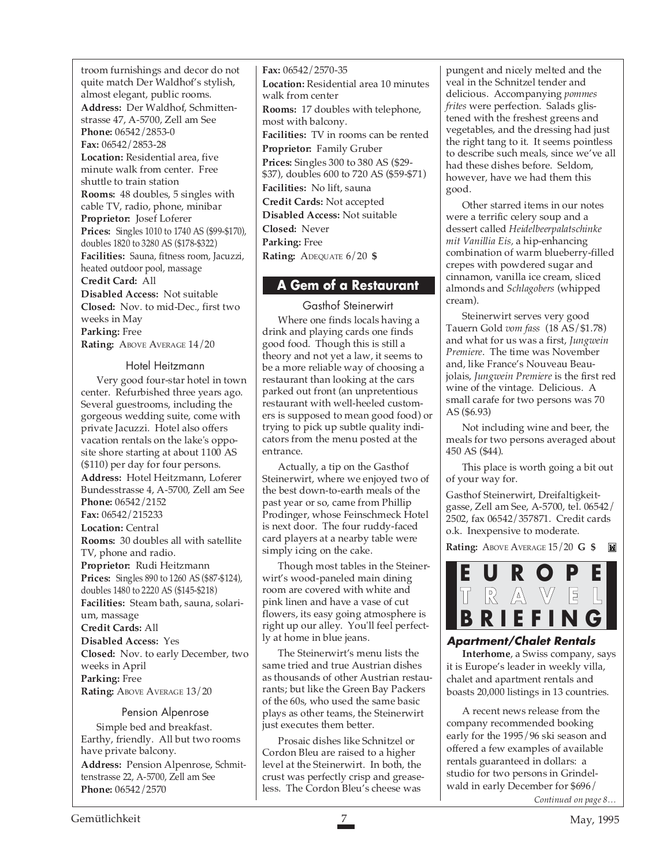troom furnishings and decor do not quite match Der Waldhof's stylish, almost elegant, public rooms.

**Address:** Der Waldhof, Schmittenstrasse 47, A-5700, Zell am See **Phone:** 06542/2853-0 **Fax:** 06542/2853-28 **Location:** Residential area, five minute walk from center. Free shuttle to train station **Rooms:** 48 doubles, 5 singles with cable TV, radio, phone, minibar **Proprietor:** Josef Loferer **Prices:** Singles 1010 to 1740 AS (\$99-\$170), doubles 1820 to 3280 AS (\$178-\$322) **Facilities:** Sauna, fitness room, Jacuzzi, heated outdoor pool, massage **Credit Card:** All **Disabled Access:** Not suitable **Closed:** Nov. to mid-Dec., first two weeks in May **Parking:** Free Rating: ABOVE AVERAGE  $14/20$ 

#### Hotel Heitzmann

Very good four-star hotel in town center. Refurbished three years ago. Several guestrooms, including the gorgeous wedding suite, come with private Jacuzzi. Hotel also offers vacation rentals on the lake's opposite shore starting at about 1100 AS (\$110) per day for four persons. **Address:** Hotel Heitzmann, Loferer

Bundesstrasse 4, A-5700, Zell am See **Phone:** 06542/2152 **Fax:** 06542/215233 **Location:** Central **Rooms:** 30 doubles all with satellite TV, phone and radio. **Proprietor:** Rudi Heitzmann **Prices:** Singles 890 to 1260 AS (\$87-\$124), doubles 1480 to 2220 AS (\$145-\$218) **Facilities:** Steam bath, sauna, solarium, massage **Credit Cards:** All **Disabled Access:** Yes

**Closed:** Nov. to early December, two weeks in April **Parking:** Free **Rating: ABOVE AVERAGE 13/20** 

#### Pension Alpenrose

Simple bed and breakfast. Earthy, friendly. All but two rooms have private balcony.

**Address:** Pension Alpenrose, Schmittenstrasse 22, A-5700, Zell am See **Phone:** 06542/2570

**Fax:** 06542/2570-35 **Location:** Residential area 10 minutes walk from center **Rooms:** 17 doubles with telephone, most with balcony. **Facilities:** TV in rooms can be rented **Proprietor:** Family Gruber **Prices:** Singles 300 to 380 AS (\$29- \$37), doubles 600 to 720 AS (\$59-\$71) **Facilities:** No lift, sauna **Credit Cards:** Not accepted **Disabled Access:** Not suitable **Closed:** Never **Parking:** Free **Rating:** ADEQUATE 6/20 **\$**

# **A Gem of a Restaurant**

Gasthof Steinerwirt Where one finds locals having a drink and playing cards one finds good food. Though this is still a theory and not yet a law, it seems to be a more reliable way of choosing a restaurant than looking at the cars parked out front (an unpretentious restaurant with well-heeled customers is supposed to mean good food) or trying to pick up subtle quality indicators from the menu posted at the entrance.

Actually, a tip on the Gasthof Steinerwirt, where we enjoyed two of the best down-to-earth meals of the past year or so, came from Phillip Prodinger, whose Feinschmeck Hotel is next door. The four ruddy-faced card players at a nearby table were simply icing on the cake.

Though most tables in the Steinerwirt's wood-paneled main dining room are covered with white and pink linen and have a vase of cut flowers, its easy going atmosphere is right up our alley. You'll feel perfectly at home in blue jeans.

The Steinerwirt's menu lists the same tried and true Austrian dishes as thousands of other Austrian restaurants; but like the Green Bay Packers of the 60s, who used the same basic plays as other teams, the Steinerwirt just executes them better.

Prosaic dishes like Schnitzel or Cordon Bleu are raised to a higher level at the Steinerwirt. In both, the crust was perfectly crisp and greaseless. The Cordon Bleu's cheese was

pungent and nicely melted and the veal in the Schnitzel tender and delicious. Accompanying *pommes frites* were perfection. Salads glistened with the freshest greens and vegetables, and the dressing had just the right tang to it. It seems pointless to describe such meals, since we've all had these dishes before. Seldom, however, have we had them this good.

Other starred items in our notes were a terrific celery soup and a dessert called *Heidelbeerpalatschinke mit Vanillia Eis,* a hip-enhancing combination of warm blueberry-filled crepes with powdered sugar and cinnamon, vanilla ice cream, sliced almonds and *Schlagobers* (whipped cream).

Steinerwirt serves very good Tauern Gold *vom fass* (18 AS/\$1.78) and what for us was a first, *Jungwein Premiere*. The time was November and, like France's Nouveau Beaujolais, *Jungwein Premiere* is the first red wine of the vintage. Delicious. A small carafe for two persons was 70 AS (\$6.93)

Not including wine and beer, the meals for two persons averaged about 450 AS (\$44).

This place is worth going a bit out of your way for.

Gasthof Steinerwirt, Dreifaltigkeitgasse, Zell am See, A-5700, tel. 06542/ 2502, fax 06542/357871. Credit cards o.k. Inexpensive to moderate.

**Rating:** ABOVE AVERAGE 15/20 **G \$**



# **Apartment/Chalet Rentals**

**Interhome**, a Swiss company, says it is Europe's leader in weekly villa, chalet and apartment rentals and boasts 20,000 listings in 13 countries.

*Continued on page 8…* A recent news release from the company recommended booking early for the 1995/96 ski season and offered a few examples of available rentals guaranteed in dollars: a studio for two persons in Grindelwald in early December for \$696/